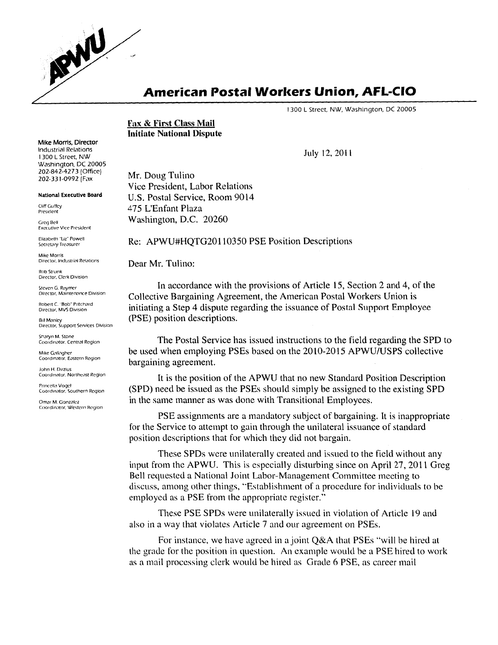

### **American Postal Workers Union, AFL-CIO**

I 300 L Street, NW, Washington, DC 20005

**Fax & First Class Mail Initiate National Dispute** 

July 12, 2011

Mr. Doug Tulino Vice President, Labor Relations U.S. Postal Service, Room 9014 475 L'Enfant Plaza Washington, D.C. 20260

Re: APWU#HQTG20110350 PSE Position Descriptions

Dear Mr. Tulino:

In accordance with the provisions of Article 15, Section 2 and 4, of the Collective Bargaining Agreement, the American Postal Workers Union is initiating a Step 4 dispute regarding the issuance of Postal Support Employee (PSE) position descriptions.

The Postal Service has issued instructions to the field regarding the SPD to be used when employing PSEs based on the 2010-2015 APWU/USPS collective bargaining agreement.

It is the position of the APWU that no new Standard Position Description (SPD) need be issued as the PSEs should simply be assigned to the existing SPD in the same manner as was done with Transitional Employees.

PSE assignments are a mandatory subject of bargaining. It is inappropriate for the Service to attempt to gain through the unilateral issuance of standard position descriptions that for which they did not bargain.

These SPDs were unilaterally created and issued to the field without any input from the APWU. This is especially disturbing since on April 27, 2011 Greg Bell requested a National Joint Labor-Management Committee meeting to discuss, among other things, "Establishment of a procedure for individuals to be employed as a PSE from the appropriate register."

These PSE SPDs were unilaterally issued in violation of Article 19 and also in a way that violates Article 7 and our agreement on PSEs.

For instance, we have agreed in a joint Q&A that PSEs "will be hired at the grade for the position in question. An example would be a PSE hired to work as a mail processing clerk would be hired as Grade 6 PSE, as career mail

Mike Morris, Director **Industrial Relations** 1300 L Street, NW Washington, DC 20005 202-842-4273 (Office) 202-331-0992 Fax

National Executive Board

Cliff Guffey President

Greg Bell **Executive Vice President** 

Elizabeth "Liz" Powell Secretary-Treasurer

Mike Morris Director, Industrial Relations

Director, Clerk Division

Steven G. Raymer Director, Maintenance Division

Robert C. "Bob" Pritchard Director, MVS Division

Director, Support Services Division<br>.

Coordinator, Central Region

Mike Gallagher Coordinator, Eastern Region

Coordinator, Northeast Region

Princella Vogel **Coordinator, Southern Region<br>Omar M. Gonzalez** 

Coordinator, Western Region Coordinator, Western Region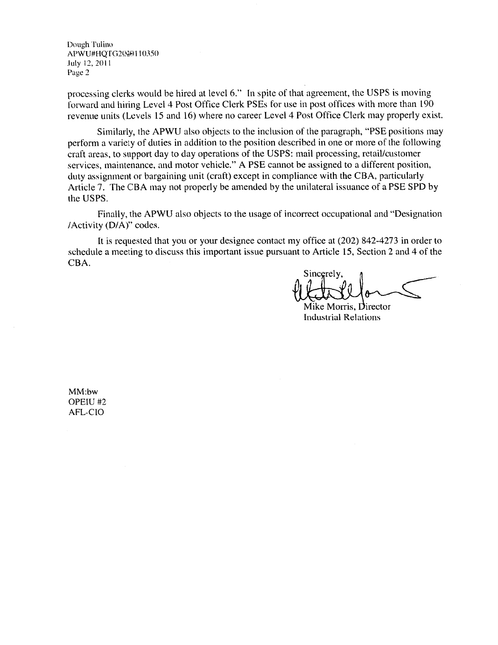Dough Tulin()  $APWU#HQ1G2W4011035$  $J^2$  July 12, 2011  $\frac{1}{2}$ 

processing clerks would be hired at level 6." In spite of that agreement, the USPS is moving<br>forward and hiring Level 4 Post Office Clerk PSEs for use in post offices with more than 190<br>revenue units (Levels 15 and 16) whe

Similarly, the APWU also objects to the inclusion of the paragraph, "PSE positions may perform a variety of duties in addition to the position described in one or more of the following craft areas, to support day to day operations of the USPS: mail processing, retail/customer services, maintenance, and motor vehicle." A PSE cannot be assigned to a different position, duty assignment or bargaining unit (craft) except in compliance with the CBA, particularly Article 7. The CBA may not properly be amended by the unilateral issuance of a PSE SPD by the USPS.

Finally, the APWU also objects to the usage of incorrect occupational and "Designation /Activity (D/A)" codes.

It is requested that you or your designee contact my office at (202) 842-4273 in order to schedule a meeting to discuss this important issue pursuant to Article 15, Section 2 and 4 of the CBA.

Sincerely,

Mike Morris, Director Industrial Relations

MM:bw<br>OPEIU #2  $\frac{1}{2}$  $n<sub>LO</sub>$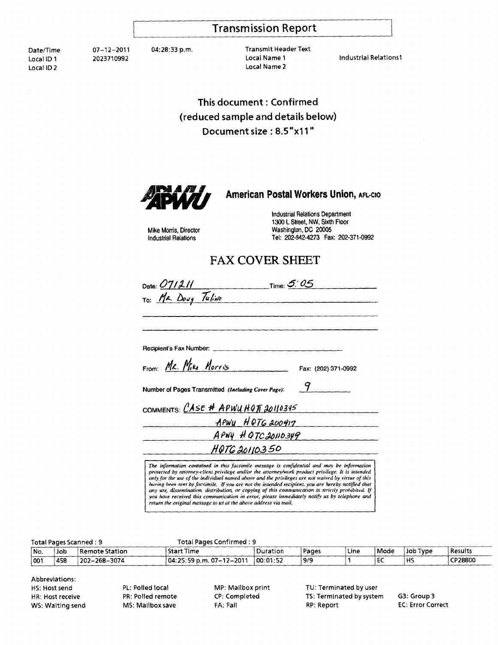#### **Transmission Report**

Date/Time 07-12-2011 04:28:33 p.m. Transmit Header Text Local ID 1 <sup>2023710992</sup> Local Name 1 Industrial Relations1 Local Name 2

This document: Confirmed (reduced sample and details below) Document size: 8.5"x11"



#### American Postal Workers Union, AFL-CIO

Mike Morris, Director Industrial Relations

Industrial Relations Department 1300 L Street, NW, Sixth Floor Washington, DC 20005 Tel: 202-842-4273 Fax: 202-371-0992

#### **FAX COVER SHEET**

| Time: $5'$ 05<br>Date: 07/2//                                                                                                                                                                                                                                                                                                                                                                                                                                                                                                                                                                                                                                                        |                     |  |  |
|--------------------------------------------------------------------------------------------------------------------------------------------------------------------------------------------------------------------------------------------------------------------------------------------------------------------------------------------------------------------------------------------------------------------------------------------------------------------------------------------------------------------------------------------------------------------------------------------------------------------------------------------------------------------------------------|---------------------|--|--|
| To: Ma. Doug TuliNo                                                                                                                                                                                                                                                                                                                                                                                                                                                                                                                                                                                                                                                                  |                     |  |  |
|                                                                                                                                                                                                                                                                                                                                                                                                                                                                                                                                                                                                                                                                                      |                     |  |  |
| Recipient's Fax Number: _____                                                                                                                                                                                                                                                                                                                                                                                                                                                                                                                                                                                                                                                        |                     |  |  |
| From: MR. Mike Morris                                                                                                                                                                                                                                                                                                                                                                                                                                                                                                                                                                                                                                                                | Fax: (202) 371-0992 |  |  |
| Number of Pages Transmitted (Including Cover Page):                                                                                                                                                                                                                                                                                                                                                                                                                                                                                                                                                                                                                                  | 9                   |  |  |
| COMMENTS: CASE # APWU HOT 20110345                                                                                                                                                                                                                                                                                                                                                                                                                                                                                                                                                                                                                                                   |                     |  |  |
| APWY HOTG 200917                                                                                                                                                                                                                                                                                                                                                                                                                                                                                                                                                                                                                                                                     |                     |  |  |
| APWY HOTCJONO349                                                                                                                                                                                                                                                                                                                                                                                                                                                                                                                                                                                                                                                                     |                     |  |  |
| HOTG20110350                                                                                                                                                                                                                                                                                                                                                                                                                                                                                                                                                                                                                                                                         |                     |  |  |
| The information contained in this facsimile message is confidential and may be information<br>protected by attorney-client privilege and/or the attorney/work product privilege. It is intended<br>only for the use of the individual named above and the privileges are not waived by virtue of this<br>having been sent by facsimile. If you are not the intended recipient, you are hereby notified that<br>any use, dissemination, distribution, or copying of this communication is strictly prohibited. If<br>you have received this communication in error, please immediately notify us by telephone and<br>return the original message to us at the above address via mail. |                     |  |  |

#### Total Pages Scanned : 9 Total Pages Confirmed : 9 Results *Results* HS b Remote Station Start Time *n Pages* Line Mode Job Type Results<br>  $\frac{1}{2}$  CP28800 Duration Pages **Pages** 2009

| INo. | dol' | i Remote Station    | ! Start Time                | 'Duration' | ' Pages | Line | Mode | ∣Job Type | <b>Results</b> |
|------|------|---------------------|-----------------------------|------------|---------|------|------|-----------|----------------|
| 001  | 458  | $1202 - 268 - 3074$ | $104:25:59 p.m. 07-12-2011$ | 00:01:52   | 9/9     |      | EC   | ١Hs       | CP28800        |
|      |      |                     |                             |            |         |      |      |           |                |
|      |      |                     |                             |            |         |      |      |           |                |

| <b>Abbreviations:</b> |  |  |
|-----------------------|--|--|
| HS: Host send         |  |  |
| HR: Host receive      |  |  |
| WS: Waiting send      |  |  |

PL: Polled local PR: Polled remote MS: Mailbox save MP: Mailbox print CP: Completed FA: Fail

TU: Terminated by user TS: Terminated by system RP: Report

G3: Group 3 **EC: Error Correct**